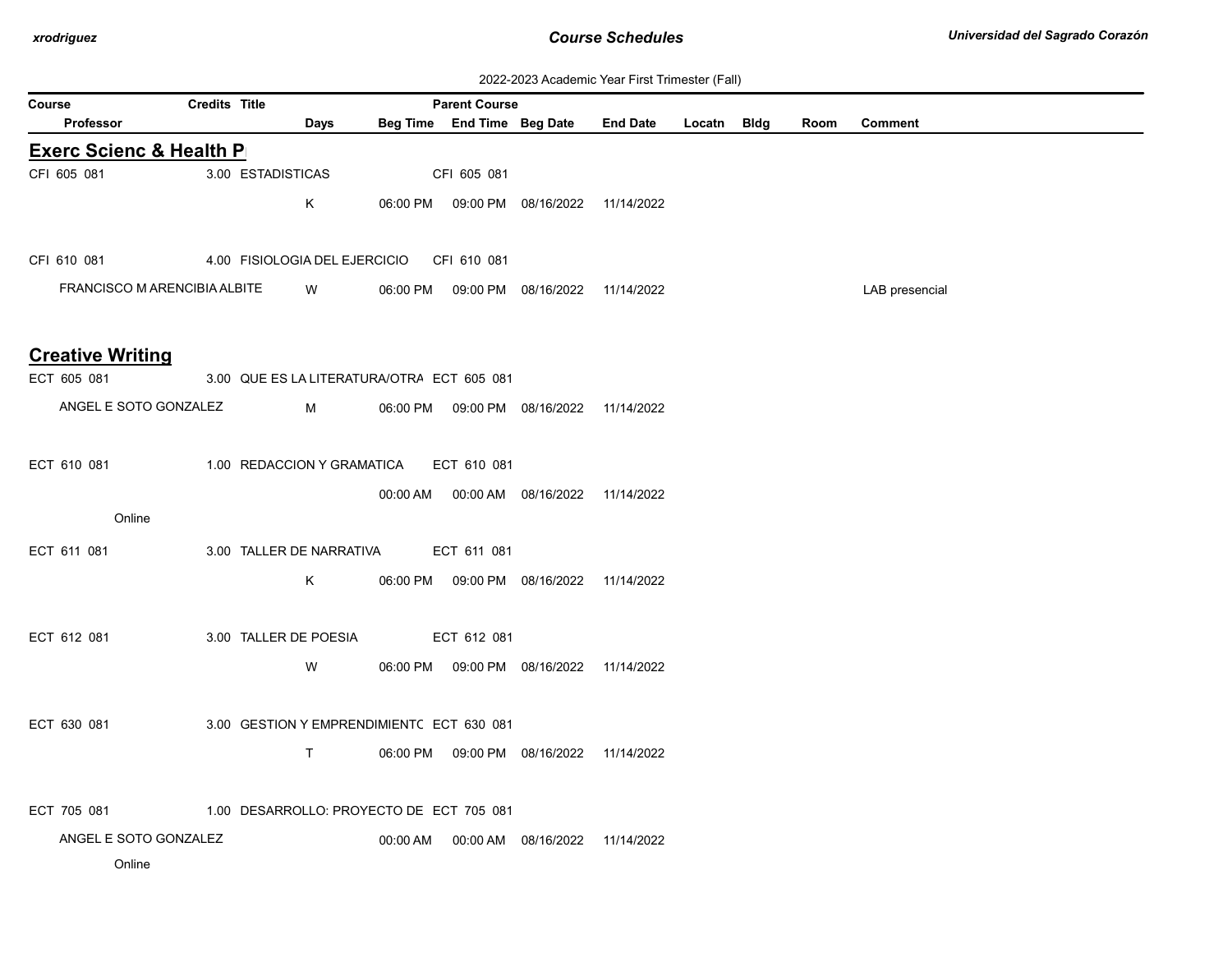| 2022-2023 Academic Year First Trimester (Fall) |  |  |  |
|------------------------------------------------|--|--|--|
|------------------------------------------------|--|--|--|

|        |                                        |                      |                   |                                            |          |                                                    |                                            | ZUZZ-ZUZJ ACQUEINIC TEGI TIISL TIINESIEI (T. GII) |             |      |                |
|--------|----------------------------------------|----------------------|-------------------|--------------------------------------------|----------|----------------------------------------------------|--------------------------------------------|---------------------------------------------------|-------------|------|----------------|
| Course | <b>Professor</b>                       | <b>Credits Title</b> |                   | Days                                       |          | <b>Parent Course</b><br>Beg Time End Time Beg Date |                                            | <b>End Date</b>                                   | Locatn Bldg | Room | Comment        |
|        | <b>Exerc Scienc &amp; Health P</b>     |                      |                   |                                            |          |                                                    |                                            |                                                   |             |      |                |
|        | CFI 605 081                            |                      | 3.00 ESTADISTICAS |                                            |          | CFI 605 081                                        |                                            |                                                   |             |      |                |
|        |                                        |                      |                   | Κ                                          |          |                                                    | 06:00 PM  09:00 PM  08/16/2022  11/14/2022 |                                                   |             |      |                |
|        |                                        |                      |                   |                                            |          |                                                    |                                            |                                                   |             |      |                |
|        | CFI 610 081                            |                      |                   | 4.00 FISIOLOGIA DEL EJERCICIO              |          | CFI 610 081                                        |                                            |                                                   |             |      |                |
|        | FRANCISCO M ARENCIBIA ALBITE           |                      |                   | W                                          | 06:00 PM |                                                    | 09:00 PM 08/16/2022 11/14/2022             |                                                   |             |      | LAB presencial |
|        |                                        |                      |                   |                                            |          |                                                    |                                            |                                                   |             |      |                |
|        |                                        |                      |                   |                                            |          |                                                    |                                            |                                                   |             |      |                |
|        | <b>Creative Writing</b><br>ECT 605 081 |                      |                   | 3.00 QUE ES LA LITERATURA/OTRA ECT 605 081 |          |                                                    |                                            |                                                   |             |      |                |
|        | ANGEL E SOTO GONZALEZ                  |                      |                   | M                                          |          |                                                    | 06:00 PM  09:00 PM  08/16/2022  11/14/2022 |                                                   |             |      |                |
|        |                                        |                      |                   |                                            |          |                                                    |                                            |                                                   |             |      |                |
|        | ECT 610 081                            |                      |                   | 1.00 REDACCION Y GRAMATICA                 |          | ECT 610 081                                        |                                            |                                                   |             |      |                |
|        |                                        |                      |                   |                                            |          |                                                    | 00:00 AM  00:00 AM  08/16/2022  11/14/2022 |                                                   |             |      |                |
|        | Online                                 |                      |                   |                                            |          |                                                    |                                            |                                                   |             |      |                |
|        | ECT 611 081                            |                      |                   | 3.00 TALLER DE NARRATIVA                   |          | ECT 611 081                                        |                                            |                                                   |             |      |                |
|        |                                        |                      |                   |                                            |          |                                                    |                                            |                                                   |             |      |                |
|        |                                        |                      |                   | K                                          |          |                                                    | 06:00 PM  09:00 PM  08/16/2022             | 11/14/2022                                        |             |      |                |
|        |                                        |                      |                   |                                            |          |                                                    |                                            |                                                   |             |      |                |
|        | ECT 612 081                            |                      |                   | 3.00 TALLER DE POESIA                      |          | ECT 612 081                                        |                                            |                                                   |             |      |                |
|        |                                        |                      |                   | W                                          |          |                                                    | 06:00 PM  09:00 PM  08/16/2022  11/14/2022 |                                                   |             |      |                |
|        |                                        |                      |                   |                                            |          |                                                    |                                            |                                                   |             |      |                |
|        | ECT 630 081                            |                      |                   | 3.00 GESTION Y EMPRENDIMIENTC ECT 630 081  |          |                                                    |                                            |                                                   |             |      |                |
|        |                                        |                      |                   | T.                                         |          |                                                    | 06:00 PM  09:00 PM  08/16/2022  11/14/2022 |                                                   |             |      |                |
|        |                                        |                      |                   |                                            |          |                                                    |                                            |                                                   |             |      |                |
|        | ECT 705 081                            |                      |                   | 1.00 DESARROLLO: PROYECTO DE ECT 705 081   |          |                                                    |                                            |                                                   |             |      |                |
|        | ANGEL E SOTO GONZALEZ                  |                      |                   |                                            | 00:00 AM |                                                    | 00:00 AM  08/16/2022                       | 11/14/2022                                        |             |      |                |
|        | Online                                 |                      |                   |                                            |          |                                                    |                                            |                                                   |             |      |                |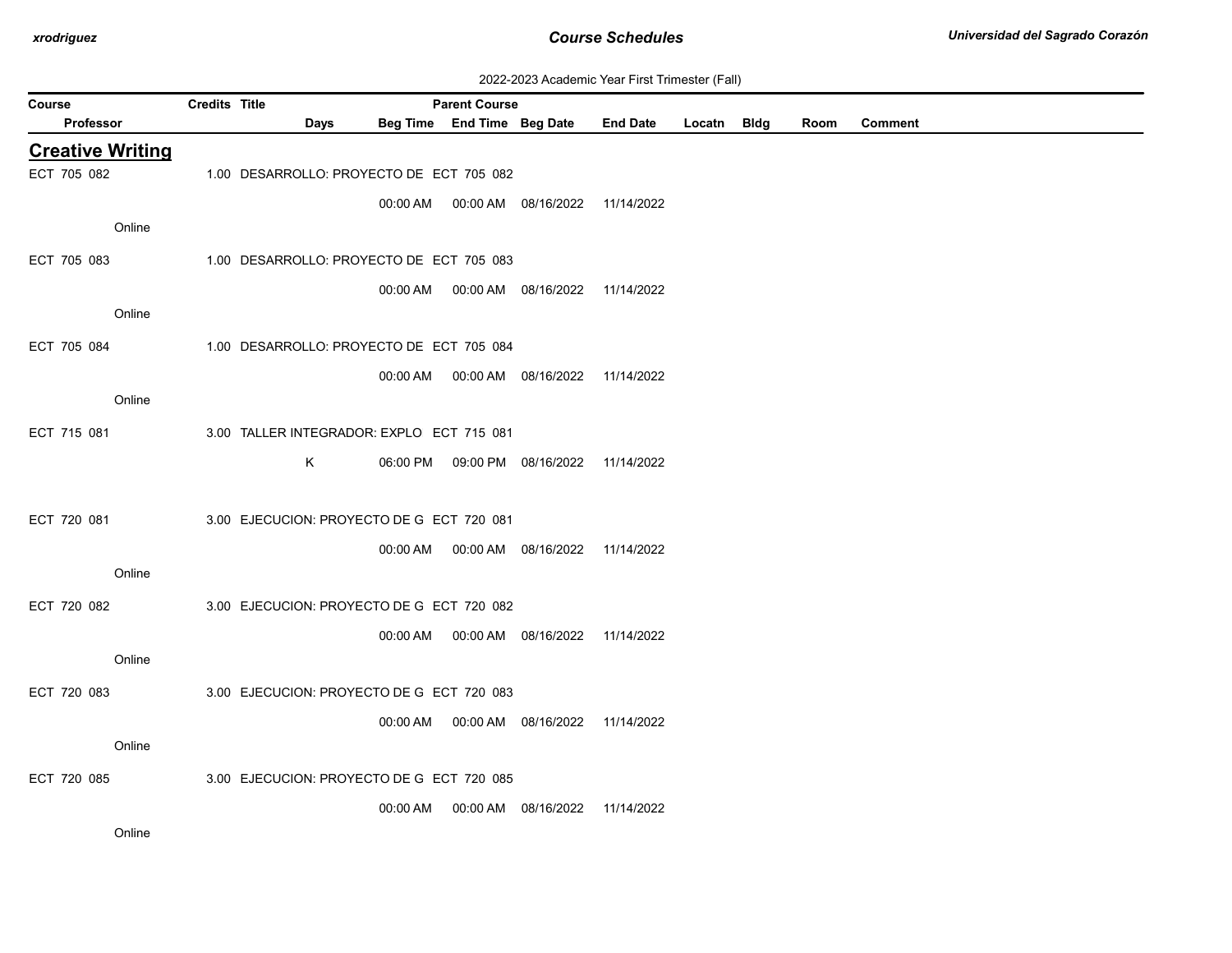| 2022-2023 Academic Year First Trimester (Fall) |  |  |  |
|------------------------------------------------|--|--|--|
|------------------------------------------------|--|--|--|

| Course                  | <b>Credits Title</b> |                                           |          | <b>Parent Course</b>       |                                            |                 |        |             |      |                |
|-------------------------|----------------------|-------------------------------------------|----------|----------------------------|--------------------------------------------|-----------------|--------|-------------|------|----------------|
| Professor               |                      | Days                                      |          | Beg Time End Time Beg Date |                                            | <b>End Date</b> | Locatn | <b>Bldg</b> | Room | <b>Comment</b> |
| <b>Creative Writing</b> |                      |                                           |          |                            |                                            |                 |        |             |      |                |
| ECT 705 082             |                      | 1.00 DESARROLLO: PROYECTO DE ECT 705 082  |          |                            |                                            |                 |        |             |      |                |
|                         |                      |                                           |          |                            | 00:00 AM  00:00 AM  08/16/2022  11/14/2022 |                 |        |             |      |                |
| Online                  |                      |                                           |          |                            |                                            |                 |        |             |      |                |
| ECT 705 083             |                      | 1.00 DESARROLLO: PROYECTO DE ECT 705 083  |          |                            |                                            |                 |        |             |      |                |
|                         |                      |                                           |          |                            | 00:00 AM  00:00 AM  08/16/2022  11/14/2022 |                 |        |             |      |                |
| Online                  |                      |                                           |          |                            |                                            |                 |        |             |      |                |
| ECT 705 084             |                      | 1.00 DESARROLLO: PROYECTO DE ECT 705 084  |          |                            |                                            |                 |        |             |      |                |
|                         |                      |                                           |          |                            | 00:00 AM  00:00 AM  08/16/2022  11/14/2022 |                 |        |             |      |                |
| Online                  |                      |                                           |          |                            |                                            |                 |        |             |      |                |
| ECT 715 081             |                      | 3.00 TALLER INTEGRADOR: EXPLO ECT 715 081 |          |                            |                                            |                 |        |             |      |                |
|                         |                      |                                           |          |                            |                                            |                 |        |             |      |                |
|                         |                      | K                                         |          |                            | 06:00 PM  09:00 PM  08/16/2022  11/14/2022 |                 |        |             |      |                |
|                         |                      |                                           |          |                            |                                            |                 |        |             |      |                |
| ECT 720 081             |                      | 3.00 EJECUCION: PROYECTO DE G ECT 720 081 |          |                            |                                            |                 |        |             |      |                |
|                         |                      |                                           |          |                            | 00:00 AM  00:00 AM  08/16/2022  11/14/2022 |                 |        |             |      |                |
| Online                  |                      |                                           |          |                            |                                            |                 |        |             |      |                |
| ECT 720 082             |                      | 3.00 EJECUCION: PROYECTO DE G ECT 720 082 |          |                            |                                            |                 |        |             |      |                |
|                         |                      |                                           | 00:00 AM |                            | 00:00 AM  08/16/2022                       | 11/14/2022      |        |             |      |                |
| Online                  |                      |                                           |          |                            |                                            |                 |        |             |      |                |
| ECT 720 083             |                      | 3.00 EJECUCION: PROYECTO DE G ECT 720 083 |          |                            |                                            |                 |        |             |      |                |
|                         |                      |                                           |          |                            |                                            | 11/14/2022      |        |             |      |                |
| Online                  |                      |                                           |          |                            |                                            |                 |        |             |      |                |
| ECT 720 085             |                      | 3.00 EJECUCION: PROYECTO DE G ECT 720 085 |          |                            |                                            |                 |        |             |      |                |
|                         |                      |                                           | 00:00 AM |                            | 00:00 AM  08/16/2022                       | 11/14/2022      |        |             |      |                |
| Online                  |                      |                                           |          |                            |                                            |                 |        |             |      |                |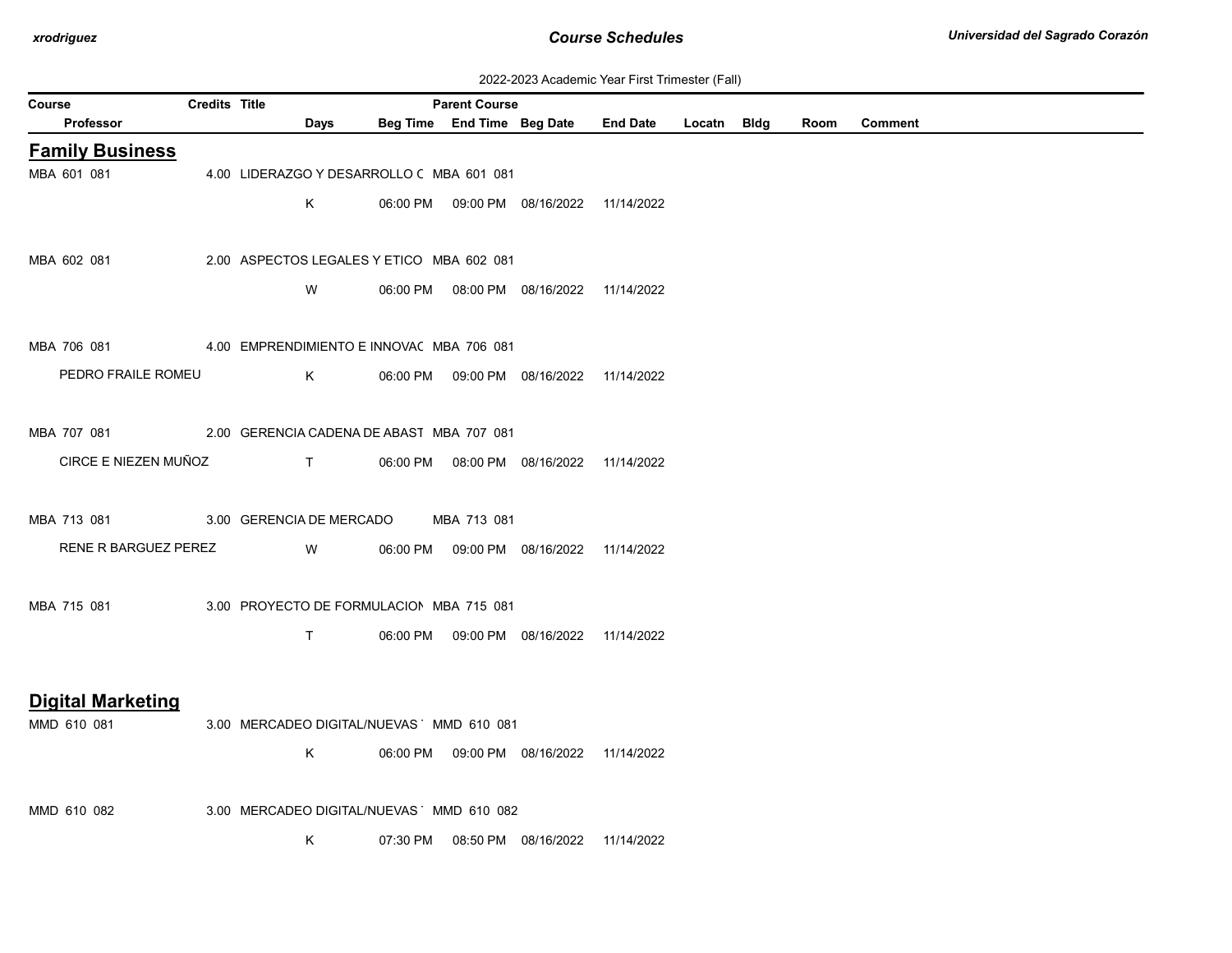| 2022-2023 Academic Year First Trimester (Fall) |  |  |  |
|------------------------------------------------|--|--|--|
|------------------------------------------------|--|--|--|

| Course |                                                       | <b>Credits Title</b> |                                                                            |                                           | <b>Parent Course</b> |                                            | EULL-LULU AUGULINU TUGI T IIUL TIINIUSIUI (1 GII) |  |      |                |
|--------|-------------------------------------------------------|----------------------|----------------------------------------------------------------------------|-------------------------------------------|----------------------|--------------------------------------------|---------------------------------------------------|--|------|----------------|
|        | Professor                                             |                      | Days                                                                       |                                           |                      |                                            | Beg Time End Time Beg Date End Date Locatn Bldg   |  | Room | <b>Comment</b> |
|        | <b>Family Business</b>                                |                      |                                                                            |                                           |                      |                                            |                                                   |  |      |                |
|        | MBA 601 081                                           |                      |                                                                            | 4.00 LIDERAZGO Y DESARROLLO C MBA 601 081 |                      |                                            |                                                   |  |      |                |
|        |                                                       |                      | K                                                                          |                                           |                      | 06:00 PM  09:00 PM  08/16/2022  11/14/2022 |                                                   |  |      |                |
|        |                                                       |                      |                                                                            |                                           |                      |                                            |                                                   |  |      |                |
|        | MBA 602 081                                           |                      |                                                                            | 2.00 ASPECTOS LEGALES Y ETICO MBA 602 081 |                      |                                            |                                                   |  |      |                |
|        |                                                       |                      | W                                                                          |                                           |                      | 06:00 PM  08:00 PM  08/16/2022  11/14/2022 |                                                   |  |      |                |
|        |                                                       |                      |                                                                            |                                           |                      |                                            |                                                   |  |      |                |
|        | MBA 706 081                                           |                      |                                                                            | 4.00 EMPRENDIMIENTO E INNOVAC MBA 706 081 |                      |                                            |                                                   |  |      |                |
|        | PEDRO FRAILE ROMEU                                    |                      | K                                                                          |                                           |                      | 06:00 PM  09:00 PM  08/16/2022  11/14/2022 |                                                   |  |      |                |
|        |                                                       |                      |                                                                            |                                           |                      |                                            |                                                   |  |      |                |
|        | MBA 707 081 2.00 GERENCIA CADENA DE ABAST MBA 707 081 |                      |                                                                            |                                           |                      |                                            |                                                   |  |      |                |
|        | CIRCE E NIEZEN MUÑOZ                                  |                      | $\mathsf{T}$ and $\mathsf{T}$ and $\mathsf{T}$ are the set of $\mathsf{T}$ |                                           |                      | 06:00 PM  08:00 PM  08/16/2022  11/14/2022 |                                                   |  |      |                |
|        |                                                       |                      |                                                                            |                                           |                      |                                            |                                                   |  |      |                |
|        | MBA 713 081 3.00 GERENCIA DE MERCADO                  |                      |                                                                            |                                           | MBA 713 081          |                                            |                                                   |  |      |                |
|        | RENE R BARGUEZ PEREZ                                  |                      | <b>W</b>                                                                   |                                           |                      | 06:00 PM  09:00 PM  08/16/2022  11/14/2022 |                                                   |  |      |                |
|        |                                                       |                      |                                                                            |                                           |                      |                                            |                                                   |  |      |                |
|        | MBA 715 081                                           |                      |                                                                            | 3.00 PROYECTO DE FORMULACION MBA 715 081  |                      |                                            |                                                   |  |      |                |
|        |                                                       |                      | $\mathsf{T}$                                                               |                                           |                      | 06:00 PM  09:00 PM  08/16/2022  11/14/2022 |                                                   |  |      |                |
|        |                                                       |                      |                                                                            |                                           |                      |                                            |                                                   |  |      |                |
|        | <b>Digital Marketing</b>                              |                      |                                                                            |                                           |                      |                                            |                                                   |  |      |                |
|        | MMD 610 081                                           |                      |                                                                            | 3.00 MERCADEO DIGITAL/NUEVAS MMD 610 081  |                      |                                            |                                                   |  |      |                |
|        |                                                       |                      | K                                                                          |                                           |                      | 06:00 PM  09:00 PM  08/16/2022  11/14/2022 |                                                   |  |      |                |
|        |                                                       |                      |                                                                            |                                           |                      |                                            |                                                   |  |      |                |
|        | MMD 610 082                                           |                      |                                                                            | 3.00 MERCADEO DIGITAL/NUEVAS MMD 610 082  |                      |                                            |                                                   |  |      |                |
|        |                                                       |                      | K                                                                          |                                           |                      | 07:30 PM  08:50 PM  08/16/2022  11/14/2022 |                                                   |  |      |                |
|        |                                                       |                      |                                                                            |                                           |                      |                                            |                                                   |  |      |                |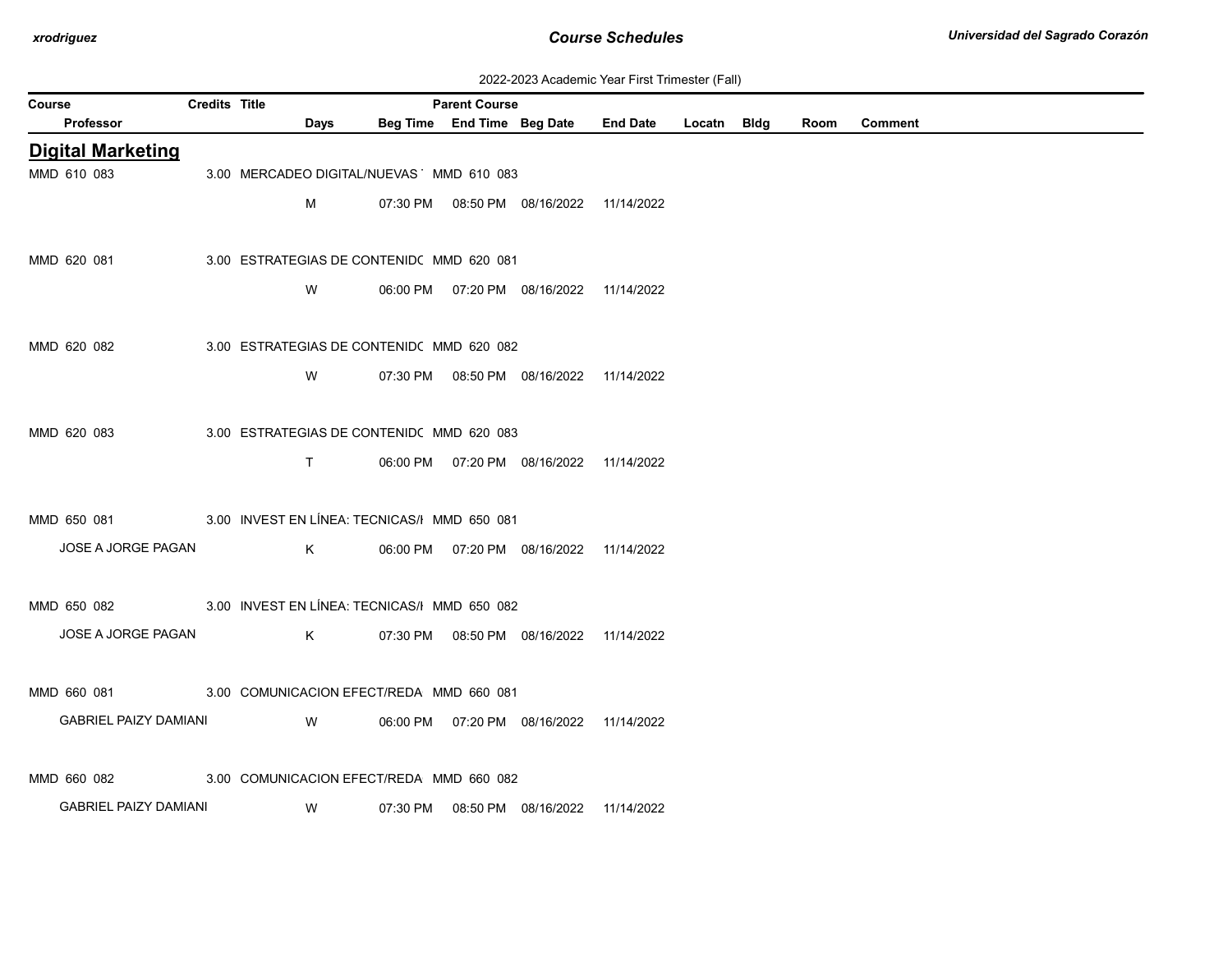| 2022-2023 Academic Year First Trimester (Fall) |  |  |  |
|------------------------------------------------|--|--|--|
|------------------------------------------------|--|--|--|

| Course                       | <b>Credits Title</b> |                                              |          | <b>Parent Course</b>       |                                            |                 |             |      |                |
|------------------------------|----------------------|----------------------------------------------|----------|----------------------------|--------------------------------------------|-----------------|-------------|------|----------------|
| Professor                    |                      | Days                                         |          | Beg Time End Time Beg Date |                                            | <b>End Date</b> | Locatn Bldg | Room | <b>Comment</b> |
| <b>Digital Marketing</b>     |                      |                                              |          |                            |                                            |                 |             |      |                |
| MMD 610 083                  |                      | 3.00 MERCADEO DIGITAL/NUEVAS MMD 610 083     |          |                            |                                            |                 |             |      |                |
|                              |                      | м                                            |          |                            | 07:30 PM  08:50 PM  08/16/2022  11/14/2022 |                 |             |      |                |
|                              |                      |                                              |          |                            |                                            |                 |             |      |                |
| MMD 620 081                  |                      | 3.00 ESTRATEGIAS DE CONTENID( MMD 620 081    |          |                            |                                            |                 |             |      |                |
|                              |                      | W                                            |          |                            | 06:00 PM  07:20 PM  08/16/2022  11/14/2022 |                 |             |      |                |
|                              |                      |                                              |          |                            |                                            |                 |             |      |                |
| MMD 620 082                  |                      | 3.00 ESTRATEGIAS DE CONTENID( MMD 620 082    |          |                            |                                            |                 |             |      |                |
|                              |                      |                                              |          |                            |                                            |                 |             |      |                |
|                              |                      | W                                            |          |                            | 07:30 PM  08:50 PM  08/16/2022  11/14/2022 |                 |             |      |                |
|                              |                      |                                              |          |                            |                                            |                 |             |      |                |
| MMD 620 083                  |                      | 3.00 ESTRATEGIAS DE CONTENIDO MMD 620 083    |          |                            |                                            |                 |             |      |                |
|                              |                      | $\mathsf{T}$                                 |          |                            | 06:00 PM  07:20 PM  08/16/2022  11/14/2022 |                 |             |      |                |
|                              |                      |                                              |          |                            |                                            |                 |             |      |                |
| MMD 650 081                  |                      | 3.00 INVEST EN LÍNEA: TECNICAS/I MMD 650 081 |          |                            |                                            |                 |             |      |                |
| JOSE A JORGE PAGAN           |                      | K.                                           |          |                            | 06:00 PM  07:20 PM  08/16/2022  11/14/2022 |                 |             |      |                |
|                              |                      |                                              |          |                            |                                            |                 |             |      |                |
| MMD 650 082                  |                      | 3.00 INVEST EN LÍNEA: TECNICAS/I MMD 650 082 |          |                            |                                            |                 |             |      |                |
| JOSE A JORGE PAGAN           |                      | K.                                           |          |                            | 07:30 PM  08:50 PM  08/16/2022  11/14/2022 |                 |             |      |                |
|                              |                      |                                              |          |                            |                                            |                 |             |      |                |
| MMD 660 081                  |                      | 3.00 COMUNICACION EFECT/REDA MMD 660 081     |          |                            |                                            |                 |             |      |                |
| <b>GABRIEL PAIZY DAMIANI</b> |                      | W                                            | 06:00 PM |                            | 07:20 PM 08/16/2022 11/14/2022             |                 |             |      |                |
|                              |                      |                                              |          |                            |                                            |                 |             |      |                |
|                              |                      |                                              |          |                            |                                            |                 |             |      |                |
| MMD 660 082                  |                      | 3.00 COMUNICACION EFECT/REDA MMD 660 082     |          |                            |                                            |                 |             |      |                |
| <b>GABRIEL PAIZY DAMIANI</b> |                      | W                                            | 07:30 PM |                            | 08:50 PM 08/16/2022                        | 11/14/2022      |             |      |                |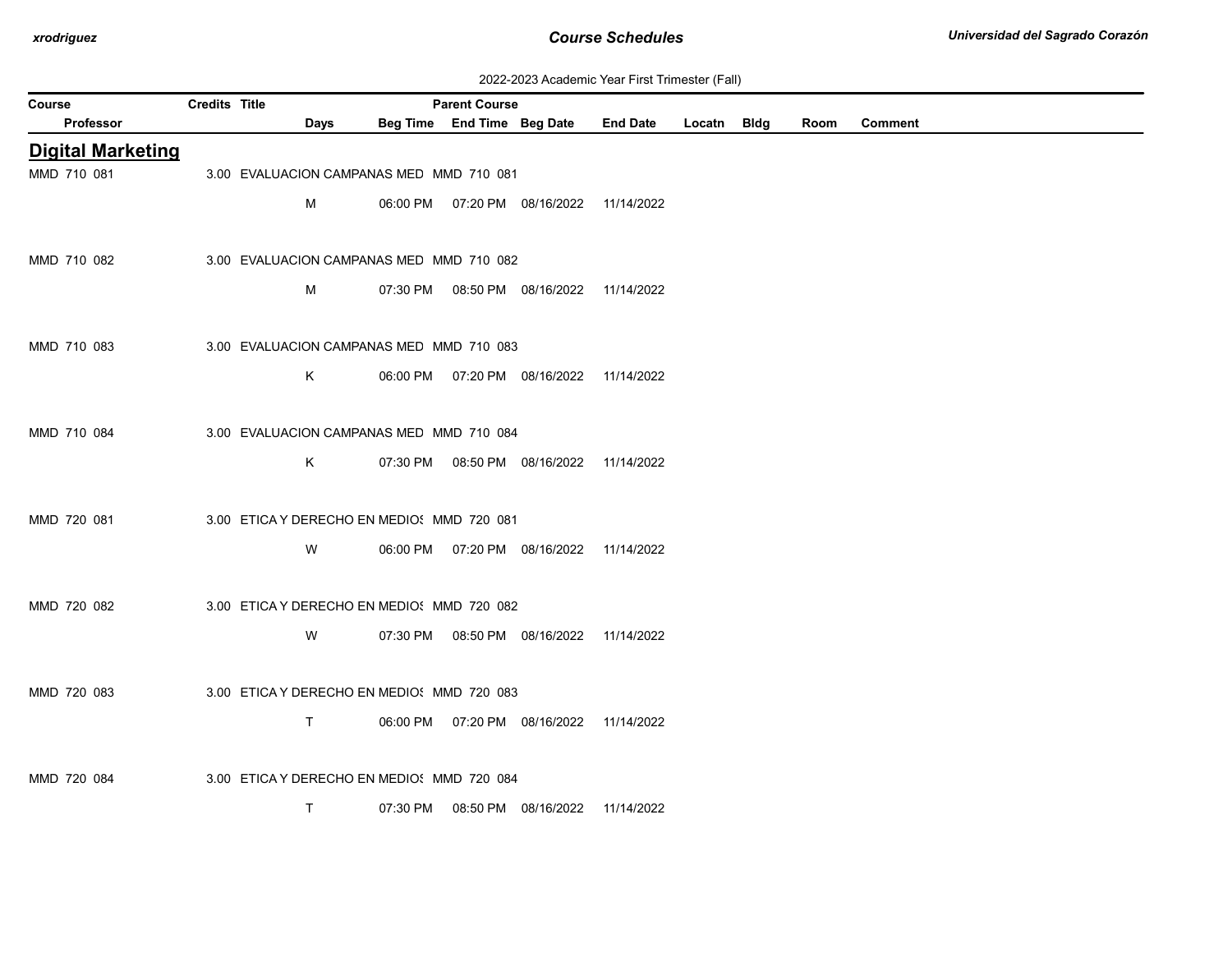| 2022-2023 Academic Year First Trimester (Fall) |  |  |  |  |  |
|------------------------------------------------|--|--|--|--|--|
|------------------------------------------------|--|--|--|--|--|

| Course                   | Credits Title |                                            |          | <b>Parent Course</b>       |                                            |                 |             |      |                |
|--------------------------|---------------|--------------------------------------------|----------|----------------------------|--------------------------------------------|-----------------|-------------|------|----------------|
| Professor                |               | Days                                       |          | Beg Time End Time Beg Date |                                            | <b>End Date</b> | Locatn Bldg | Room | <b>Comment</b> |
| <b>Digital Marketing</b> |               |                                            |          |                            |                                            |                 |             |      |                |
| MMD 710 081              |               | 3.00 EVALUACION CAMPANAS MED MMD 710 081   |          |                            |                                            |                 |             |      |                |
|                          |               | M                                          |          |                            | 06:00 PM  07:20 PM  08/16/2022  11/14/2022 |                 |             |      |                |
|                          |               |                                            |          |                            |                                            |                 |             |      |                |
| MMD 710 082              |               | 3.00 EVALUACION CAMPANAS MED MMD 710 082   |          |                            |                                            |                 |             |      |                |
|                          |               | M                                          |          |                            | 07:30 PM   08:50 PM   08/16/2022           | 11/14/2022      |             |      |                |
|                          |               |                                            |          |                            |                                            |                 |             |      |                |
| MMD 710 083              |               | 3.00 EVALUACION CAMPANAS MED MMD 710 083   |          |                            |                                            |                 |             |      |                |
|                          |               | Κ                                          |          |                            | 06:00 PM  07:20 PM  08/16/2022  11/14/2022 |                 |             |      |                |
|                          |               |                                            |          |                            |                                            |                 |             |      |                |
| MMD 710 084              |               | 3.00 EVALUACION CAMPANAS MED MMD 710 084   |          |                            |                                            |                 |             |      |                |
|                          |               | Κ                                          |          |                            | 07:30 PM  08:50 PM  08/16/2022  11/14/2022 |                 |             |      |                |
|                          |               |                                            |          |                            |                                            |                 |             |      |                |
| MMD 720 081              |               | 3.00 ETICA Y DERECHO EN MEDIO: MMD 720 081 |          |                            |                                            |                 |             |      |                |
|                          |               | W                                          |          |                            | 06:00 PM  07:20 PM  08/16/2022  11/14/2022 |                 |             |      |                |
|                          |               |                                            |          |                            |                                            |                 |             |      |                |
| MMD 720 082              |               | 3.00 ETICA Y DERECHO EN MEDIO: MMD 720 082 |          |                            |                                            |                 |             |      |                |
|                          |               | W                                          |          |                            | 07:30 PM  08:50 PM  08/16/2022  11/14/2022 |                 |             |      |                |
|                          |               |                                            |          |                            |                                            |                 |             |      |                |
| MMD 720 083              |               | 3.00 ETICA Y DERECHO EN MEDIO! MMD 720 083 |          |                            |                                            |                 |             |      |                |
|                          |               | T.                                         |          |                            | 06:00 PM  07:20 PM  08/16/2022  11/14/2022 |                 |             |      |                |
|                          |               |                                            |          |                            |                                            |                 |             |      |                |
| MMD 720 084              |               | 3.00 ETICA Y DERECHO EN MEDIO: MMD 720 084 |          |                            |                                            |                 |             |      |                |
|                          |               | T.                                         | 07:30 PM |                            | 08:50 PM 08/16/2022                        | 11/14/2022      |             |      |                |
|                          |               |                                            |          |                            |                                            |                 |             |      |                |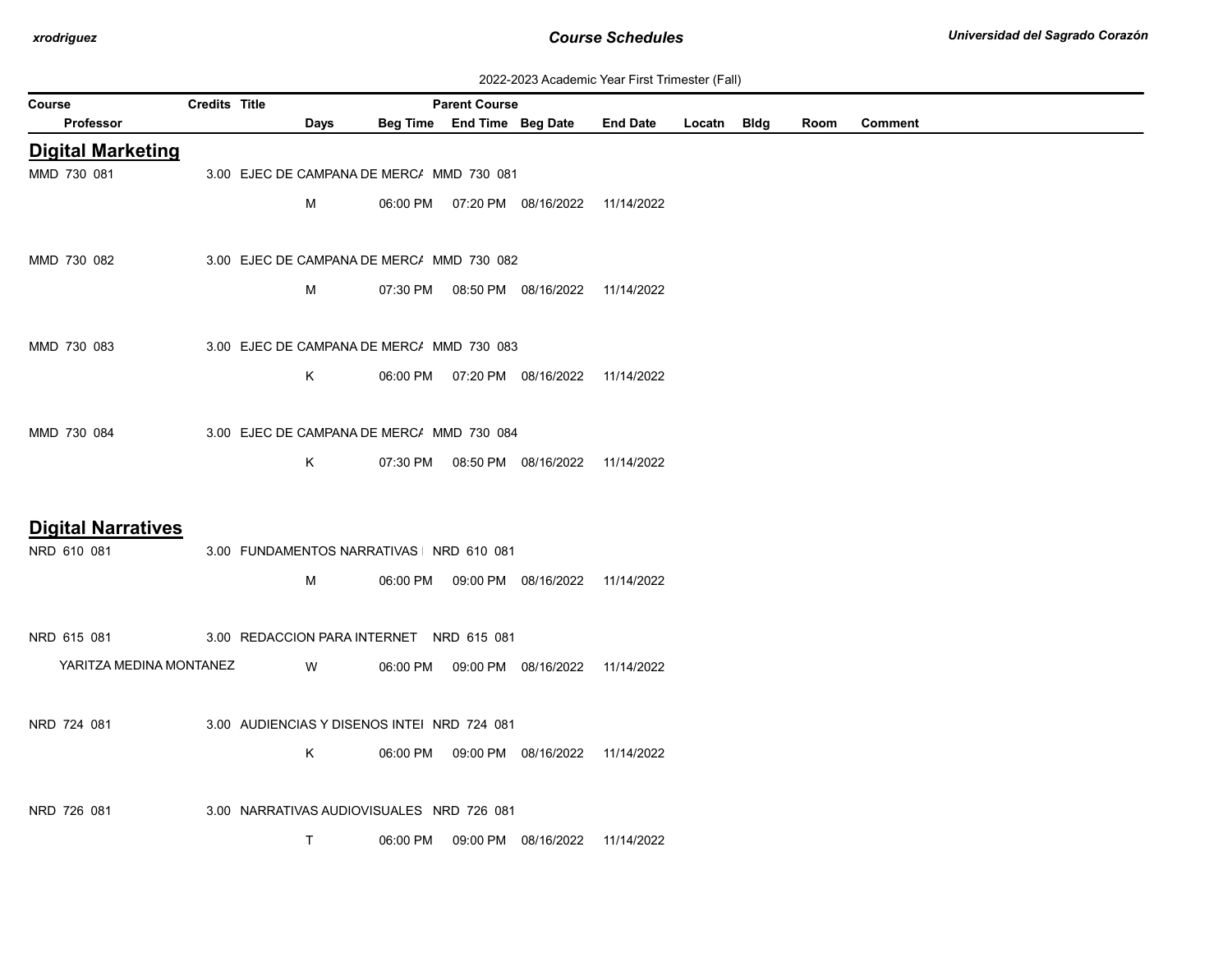| 2022-2023 Academic Year First Trimester (Fall) |  |  |  |
|------------------------------------------------|--|--|--|
|------------------------------------------------|--|--|--|

| Course                    | <b>Credits Title</b> |                                             |          | <b>Parent Course</b>       |                                            | $\sim$ , todaonno rodr i not rinnootor (i an $\prime$ |             |      |                |
|---------------------------|----------------------|---------------------------------------------|----------|----------------------------|--------------------------------------------|-------------------------------------------------------|-------------|------|----------------|
| Professor                 |                      | Days                                        |          | Beg Time End Time Beg Date |                                            | <b>End Date</b>                                       | Locatn Bldg | Room | <b>Comment</b> |
| <b>Digital Marketing</b>  |                      |                                             |          |                            |                                            |                                                       |             |      |                |
| MMD 730 081               |                      | 3.00 EJEC DE CAMPANA DE MERC/ MMD 730 081   |          |                            |                                            |                                                       |             |      |                |
|                           |                      | M                                           |          |                            | 06:00 PM  07:20 PM  08/16/2022  11/14/2022 |                                                       |             |      |                |
|                           |                      |                                             |          |                            |                                            |                                                       |             |      |                |
| MMD 730 082               |                      | 3.00 EJEC DE CAMPANA DE MERC/ MMD 730 082   |          |                            |                                            |                                                       |             |      |                |
|                           |                      | м                                           |          |                            | 07:30 PM  08:50 PM  08/16/2022  11/14/2022 |                                                       |             |      |                |
|                           |                      |                                             |          |                            |                                            |                                                       |             |      |                |
|                           |                      |                                             |          |                            |                                            |                                                       |             |      |                |
| MMD 730 083               |                      | 3.00 EJEC DE CAMPANA DE MERC/ MMD 730 083   |          |                            |                                            |                                                       |             |      |                |
|                           |                      | Κ                                           |          |                            | 06:00 PM  07:20 PM  08/16/2022  11/14/2022 |                                                       |             |      |                |
|                           |                      |                                             |          |                            |                                            |                                                       |             |      |                |
| MMD 730 084               |                      | 3.00 EJEC DE CAMPANA DE MERC/ MMD 730 084   |          |                            |                                            |                                                       |             |      |                |
|                           |                      | K.                                          |          |                            | 07:30 PM  08:50 PM  08/16/2022  11/14/2022 |                                                       |             |      |                |
|                           |                      |                                             |          |                            |                                            |                                                       |             |      |                |
| <b>Digital Narratives</b> |                      |                                             |          |                            |                                            |                                                       |             |      |                |
| NRD 610 081               |                      | 3.00 FUNDAMENTOS NARRATIVAS NRD 610 081     |          |                            |                                            |                                                       |             |      |                |
|                           |                      | M                                           |          |                            | 06:00 PM  09:00 PM  08/16/2022  11/14/2022 |                                                       |             |      |                |
|                           |                      |                                             |          |                            |                                            |                                                       |             |      |                |
| NRD 615 081               |                      | 3.00 REDACCION PARA INTERNET NRD 615 081    |          |                            |                                            |                                                       |             |      |                |
| YARITZA MEDINA MONTANEZ   |                      | W                                           |          |                            | 06:00 PM  09:00 PM  08/16/2022             | 11/14/2022                                            |             |      |                |
|                           |                      |                                             |          |                            |                                            |                                                       |             |      |                |
|                           |                      |                                             |          |                            |                                            |                                                       |             |      |                |
| NRD 724 081               |                      | 3.00 AUDIENCIAS Y DISENOS INTEI NRD 724 081 |          |                            |                                            |                                                       |             |      |                |
|                           |                      | K                                           |          |                            | 06:00 PM  09:00 PM  08/16/2022  11/14/2022 |                                                       |             |      |                |
|                           |                      |                                             |          |                            |                                            |                                                       |             |      |                |
| NRD 726 081               |                      | 3.00 NARRATIVAS AUDIOVISUALES NRD 726 081   |          |                            |                                            |                                                       |             |      |                |
|                           |                      | Τ                                           | 06:00 PM |                            | 09:00 PM 08/16/2022 11/14/2022             |                                                       |             |      |                |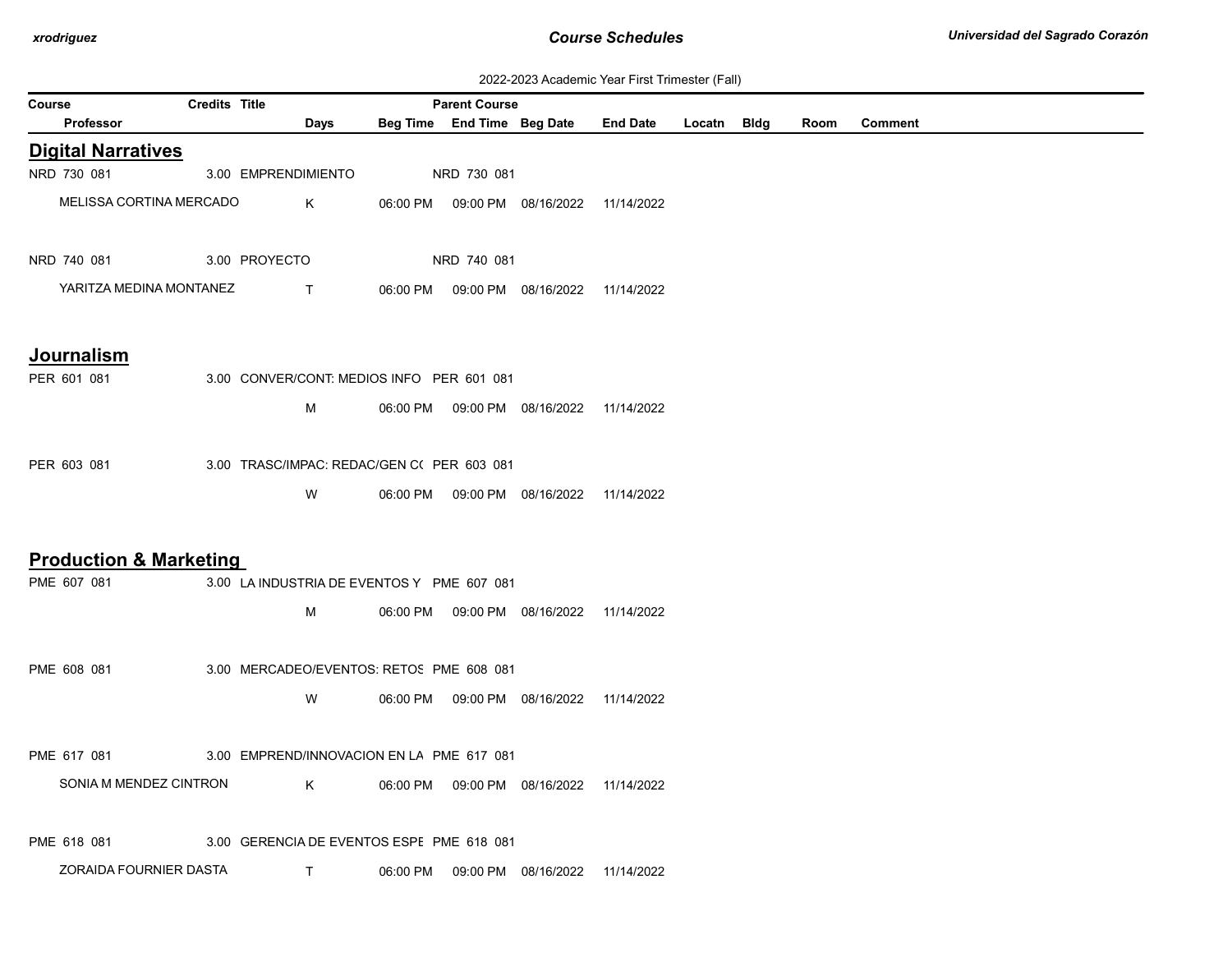| 2022-2023 Academic Year First Trimester (Fall) |  |  |  |  |  |
|------------------------------------------------|--|--|--|--|--|
|------------------------------------------------|--|--|--|--|--|

|                                   | ZUZZ-ZUZJ ACQUEINIC TEGI FIISL HINIESIEI (Fail) |                                            |  |                      |                                            |                                                 |  |  |      |                |
|-----------------------------------|-------------------------------------------------|--------------------------------------------|--|----------------------|--------------------------------------------|-------------------------------------------------|--|--|------|----------------|
| Course                            | <b>Credits Title</b>                            |                                            |  | <b>Parent Course</b> |                                            |                                                 |  |  |      |                |
| <b>Professor</b>                  |                                                 | Days                                       |  |                      |                                            | Beg Time End Time Beg Date End Date Locatn Bldg |  |  | Room | <b>Comment</b> |
| <b>Digital Narratives</b>         |                                                 |                                            |  |                      |                                            |                                                 |  |  |      |                |
| NRD 730 081                       |                                                 | 3.00 EMPRENDIMIENTO                        |  | NRD 730 081          |                                            |                                                 |  |  |      |                |
| MELISSA CORTINA MERCADO           |                                                 | Κ                                          |  |                      | 06:00 PM  09:00 PM  08/16/2022  11/14/2022 |                                                 |  |  |      |                |
|                                   |                                                 |                                            |  |                      |                                            |                                                 |  |  |      |                |
| NRD 740 081                       |                                                 | 3.00 PROYECTO                              |  | NRD 740 081          |                                            |                                                 |  |  |      |                |
| YARITZA MEDINA MONTANEZ           |                                                 | $\mathsf{T}$                               |  |                      | 06:00 PM  09:00 PM  08/16/2022  11/14/2022 |                                                 |  |  |      |                |
|                                   |                                                 |                                            |  |                      |                                            |                                                 |  |  |      |                |
|                                   |                                                 |                                            |  |                      |                                            |                                                 |  |  |      |                |
| <b>Journalism</b>                 |                                                 |                                            |  |                      |                                            |                                                 |  |  |      |                |
| PER 601 081                       |                                                 | 3.00 CONVER/CONT: MEDIOS INFO PER 601 081  |  |                      |                                            |                                                 |  |  |      |                |
|                                   |                                                 | М                                          |  |                      | 06:00 PM  09:00 PM  08/16/2022  11/14/2022 |                                                 |  |  |      |                |
|                                   |                                                 |                                            |  |                      |                                            |                                                 |  |  |      |                |
| PER 603 081                       |                                                 | 3.00 TRASC/IMPAC: REDAC/GEN C( PER 603 081 |  |                      |                                            |                                                 |  |  |      |                |
|                                   |                                                 | W                                          |  |                      | 06:00 PM  09:00 PM  08/16/2022  11/14/2022 |                                                 |  |  |      |                |
|                                   |                                                 |                                            |  |                      |                                            |                                                 |  |  |      |                |
|                                   |                                                 |                                            |  |                      |                                            |                                                 |  |  |      |                |
| <b>Production &amp; Marketing</b> |                                                 |                                            |  |                      |                                            |                                                 |  |  |      |                |
| PME 607 081                       |                                                 | 3.00 LA INDUSTRIA DE EVENTOS Y PME 607 081 |  |                      |                                            |                                                 |  |  |      |                |
|                                   |                                                 | М                                          |  |                      | 06:00 PM  09:00 PM  08/16/2022  11/14/2022 |                                                 |  |  |      |                |
|                                   |                                                 |                                            |  |                      |                                            |                                                 |  |  |      |                |
| PME 608 081                       |                                                 | 3.00 MERCADEO/EVENTOS: RETOS PME 608 081   |  |                      |                                            |                                                 |  |  |      |                |
|                                   |                                                 | W                                          |  |                      | 06:00 PM  09:00 PM  08/16/2022  11/14/2022 |                                                 |  |  |      |                |
|                                   |                                                 |                                            |  |                      |                                            |                                                 |  |  |      |                |
| PME 617 081                       |                                                 | 3.00 EMPREND/INNOVACION EN LA PME 617 081  |  |                      |                                            |                                                 |  |  |      |                |
|                                   |                                                 |                                            |  |                      |                                            |                                                 |  |  |      |                |
| SONIA M MENDEZ CINTRON            |                                                 | K                                          |  |                      | 06:00 PM  09:00 PM  08/16/2022  11/14/2022 |                                                 |  |  |      |                |
|                                   |                                                 |                                            |  |                      |                                            |                                                 |  |  |      |                |
| PME 618 081                       |                                                 | 3.00 GERENCIA DE EVENTOS ESPE PME 618 081  |  |                      |                                            |                                                 |  |  |      |                |
| ZORAIDA FOURNIER DASTA            |                                                 | $\mathsf{T}$                               |  |                      | 06:00 PM  09:00 PM  08/16/2022  11/14/2022 |                                                 |  |  |      |                |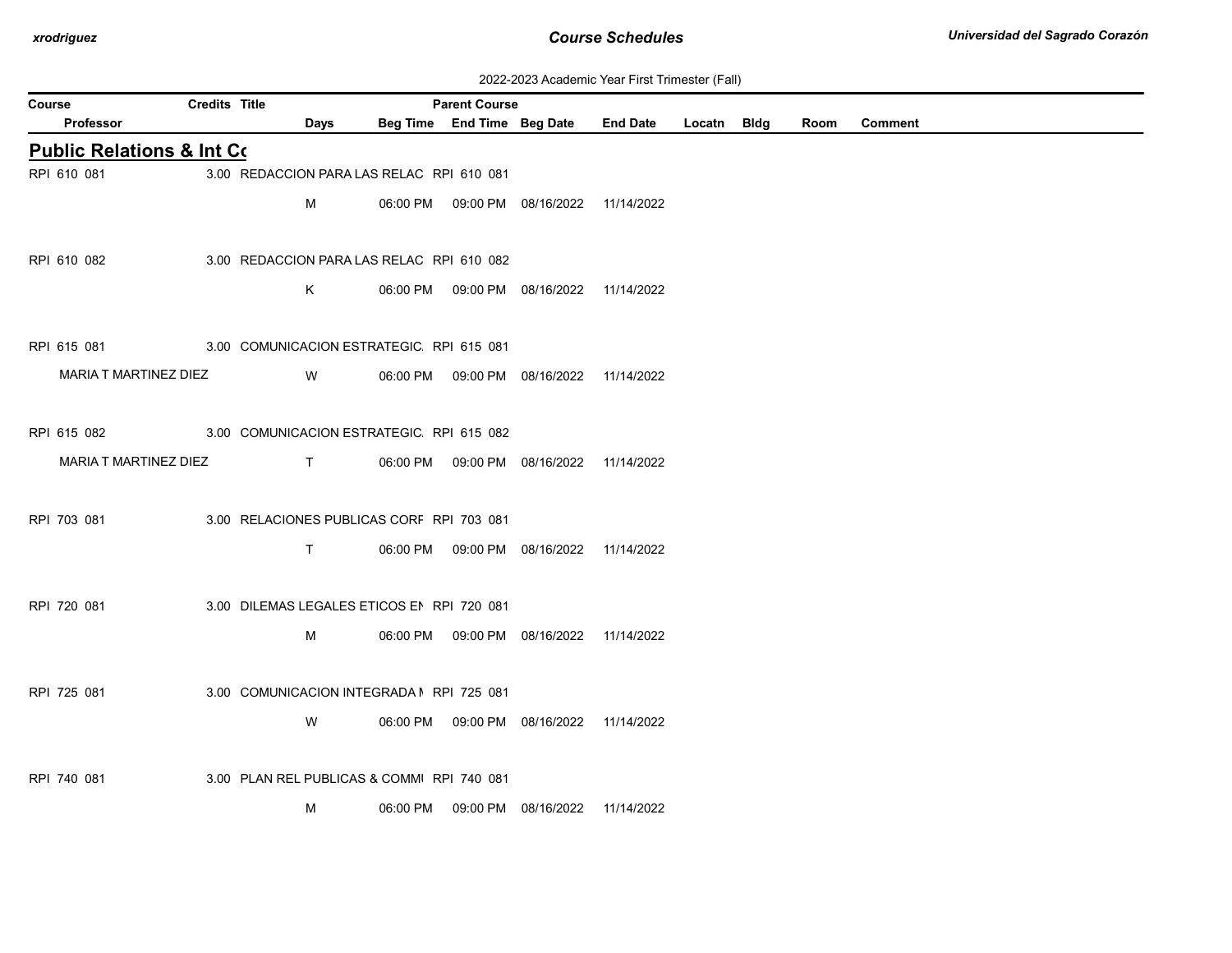| 2022-2023 Academic Year First Trimester (Fall) |  |  |  |  |
|------------------------------------------------|--|--|--|--|
|------------------------------------------------|--|--|--|--|

| <b>Credits Title</b><br><b>Parent Course</b><br>Course |  |                                            |  |  |                                            |                      |  |      |                |
|--------------------------------------------------------|--|--------------------------------------------|--|--|--------------------------------------------|----------------------|--|------|----------------|
| <b>Professor</b>                                       |  | <b>Days</b>                                |  |  | Beg Time End Time Beg Date                 | End Date Locatn Bldg |  | Room | <b>Comment</b> |
| <b>Public Relations &amp; Int Co.</b>                  |  |                                            |  |  |                                            |                      |  |      |                |
| RPI 610 081                                            |  | 3.00 REDACCION PARA LAS RELAC RPI 610 081  |  |  |                                            |                      |  |      |                |
|                                                        |  | М                                          |  |  | 06:00 PM  09:00 PM  08/16/2022  11/14/2022 |                      |  |      |                |
|                                                        |  |                                            |  |  |                                            |                      |  |      |                |
| RPI 610 082                                            |  | 3.00 REDACCION PARA LAS RELAC RPI 610 082  |  |  |                                            |                      |  |      |                |
|                                                        |  | Κ                                          |  |  | 06:00 PM  09:00 PM  08/16/2022  11/14/2022 |                      |  |      |                |
|                                                        |  |                                            |  |  |                                            |                      |  |      |                |
| RPI 615 081                                            |  | 3.00 COMUNICACION ESTRATEGIC RPI 615 081   |  |  |                                            |                      |  |      |                |
| MARIA T MARTINEZ DIEZ                                  |  | <b>W</b>                                   |  |  | 06:00 PM  09:00 PM  08/16/2022  11/14/2022 |                      |  |      |                |
|                                                        |  |                                            |  |  |                                            |                      |  |      |                |
| RPI 615 082                                            |  | 3.00 COMUNICACION ESTRATEGIC RPI 615 082   |  |  |                                            |                      |  |      |                |
| MARIA T MARTINEZ DIEZ                                  |  |                                            |  |  |                                            |                      |  |      |                |
|                                                        |  | $\mathsf{T}$ and $\mathsf{T}$              |  |  | 06:00 PM  09:00 PM  08/16/2022  11/14/2022 |                      |  |      |                |
|                                                        |  |                                            |  |  |                                            |                      |  |      |                |
| RPI 703 081                                            |  | 3.00 RELACIONES PUBLICAS CORF RPI 703 081  |  |  |                                            |                      |  |      |                |
|                                                        |  | $\mathsf{T}$                               |  |  | 06:00 PM  09:00 PM  08/16/2022  11/14/2022 |                      |  |      |                |
|                                                        |  |                                            |  |  |                                            |                      |  |      |                |
| RPI 720 081                                            |  | 3.00 DILEMAS LEGALES ETICOS EN RPI 720 081 |  |  |                                            |                      |  |      |                |
|                                                        |  | М                                          |  |  | 06:00 PM  09:00 PM  08/16/2022  11/14/2022 |                      |  |      |                |
|                                                        |  |                                            |  |  |                                            |                      |  |      |                |
| RPI 725 081                                            |  | 3.00 COMUNICACION INTEGRADA I RPI 725 081  |  |  |                                            |                      |  |      |                |
|                                                        |  | W                                          |  |  | 06:00 PM  09:00 PM  08/16/2022  11/14/2022 |                      |  |      |                |
|                                                        |  |                                            |  |  |                                            |                      |  |      |                |
| RPI 740 081                                            |  | 3.00 PLAN REL PUBLICAS & COMMI RPI 740 081 |  |  |                                            |                      |  |      |                |
|                                                        |  | M                                          |  |  | 06:00 PM  09:00 PM  08/16/2022  11/14/2022 |                      |  |      |                |
|                                                        |  |                                            |  |  |                                            |                      |  |      |                |